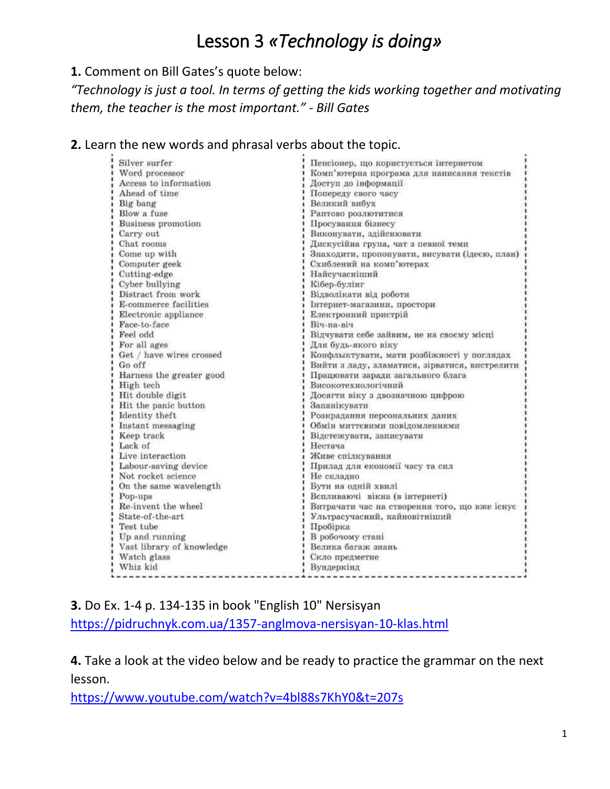## Lesson 3 *«Technology is doing»*

## **1.** Comment on Bill Gates's quote below:

*"Technology is just a tool. In terms of getting the kids working together and motivating them, the teacher is the most important." - Bill Gates*

## **2.** Learn the new words and phrasal verbs about the topic.

| Silver surfer             | Пенсіонер, що користується інтернетом          |
|---------------------------|------------------------------------------------|
| Word processor            | Комп'ютерна програма для написання текстів     |
| Access to information     | Доступ до інформації                           |
| Ahead of time             | Попереду свого часу                            |
| Big bang                  | Великий вибух                                  |
| Blow a fuse               | Раптово розлютитися                            |
| Business promotion        | Просування бізнесу                             |
| Carry out                 | Виконувати, здійснювати                        |
| Chat rooms                | Дискусійна група, чат з певної теми            |
| Come up with              | Знаходити, пропонувати, висувати (ідеєю, план) |
| Computer geek             | Схиблений на комп'ютерах                       |
| Cutting-edge              | Найсучасніший                                  |
| Cyber bullying            | Кібер-булінг                                   |
| Distract from work        | Відволікати від роботи                         |
| E-commerce facilities     | Інтернет-магазини, простори                    |
| Electronic appliance      | Електронний пристрій                           |
| Face-to-face              | Віч-на-віч                                     |
| Feel odd                  | Відчувати себе зайвим, не на своєму місці      |
| For all ages              | Для будь-якого віку                            |
| Get / have wires crossed  | Конфлыктувати, мати розбіжності у поглядах     |
| Go off                    | Вийти з ладу, зламатися, зірватися, вистрелити |
| Harness the greater good  | Працювати заради загального блага              |
| High tech                 | Високотехнологічний                            |
| Hit double digit          | Досягти віку з двозначною цифрою               |
| Hit the panic button      | Запанікувати                                   |
| Identity theft            | Розкрадання персональних даних                 |
| Instant messaging         | Обмін миттєвими повідомленнями                 |
| Keep track                | Відстежувати, записувати                       |
| Lack of                   | Нестача                                        |
| Live interaction          | Живе спілкування                               |
| Labour-saving device      | Прилад для економії часу та сил                |
| Not rocket science        | Не складно                                     |
| On the same wavelength    | Бути на одній хвилі                            |
| Pop-ups                   | Вспливаючі вікна (в інтернеті)                 |
| Re-invent the wheel       | Витрачати час на створення того, що вже існує  |
| State-of-the-art          | Ультрасучасний, найновітніший                  |
| Test tube                 | Пробірка                                       |
| Up and running            | В робочому стані                               |
| Vast library of knowledge | Велика багаж знань                             |
| Watch glass               | Скло предметне                                 |
| Whiz kid                  | Вундеркінд                                     |

**3.** Do Ex. 1-4 p. 134-135 in book "English 10" Nersisyan

<https://pidruchnyk.com.ua/1357-anglmova-nersisyan-10-klas.html>

**4.** Take a look at the video below and be ready to practice the grammar on the next lesson.

<https://www.youtube.com/watch?v=4bl88s7KhY0&t=207s>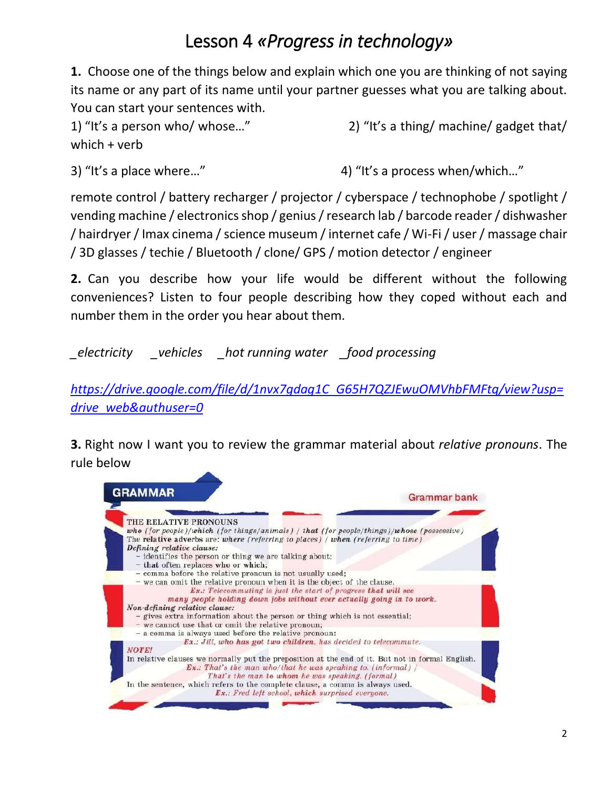## Lesson 4 *«Progress in technology»*

**1.** Choose one of the things below and explain which one you are thinking of not saying its name or any part of its name until your partner guesses what you are talking about. You can start your sentences with.

1) "It's a person who/ whose…" 2) "It's a thing/ machine/ gadget that/ which + verb

3) "It's a place where..." 4) "It's a process when/which..."

remote control / battery recharger / projector / cyberspace / technophobe / spotlight / vending machine / electronics shop / genius / research lab / barcode reader / dishwasher / hairdryer / Imax cinema / science museum / internet cafe / Wi-Fi / user / massage chair / 3D glasses / techie / Bluetooth / clone/ GPS / motion detector / engineer

**2.** Can you describe how your life would be different without the following conveniences? Listen to four people describing how they coped without each and number them in the order you hear about them.

*\_electricity \_vehicles \_hot running water \_food processing*

*[https://drive.google.com/file/d/1nvx7gdag1C\\_G65H7QZJEwuOMVhbFMFtq/view?usp=](https://drive.google.com/file/d/1nvx7gdag1C_G65H7QZJEwuOMVhbFMFtq/view?usp=drive_web&authuser=0) [drive\\_web&authuser=0](https://drive.google.com/file/d/1nvx7gdag1C_G65H7QZJEwuOMVhbFMFtq/view?usp=drive_web&authuser=0)*

**3.** Right now I want you to review the grammar material about *relative pronouns*. The rule below